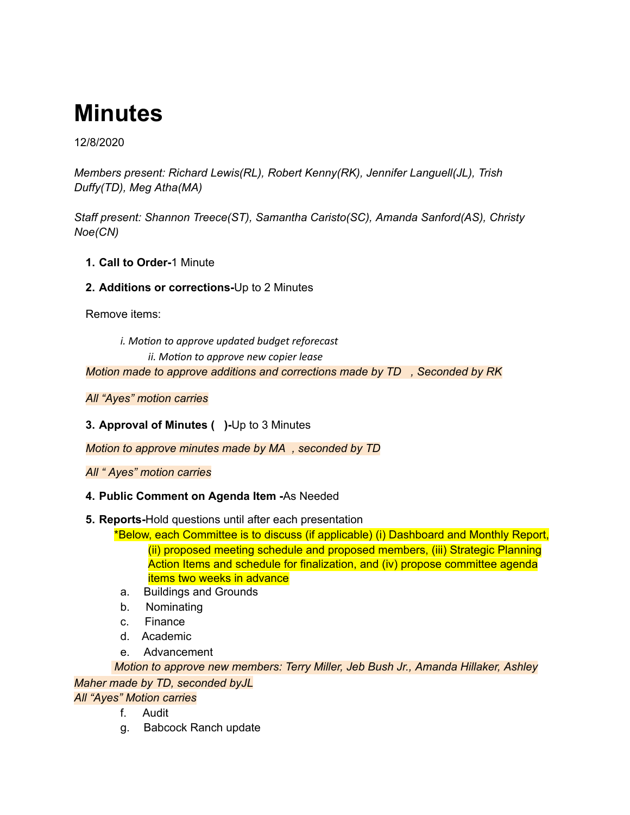# **Minutes**

12/8/2020

*Members present: Richard Lewis(RL), Robert Kenny(RK), Jennifer Languell(JL), Trish Duffy(TD), Meg Atha(MA)*

*Staff present: Shannon Treece(ST), Samantha Caristo(SC), Amanda Sanford(AS), Christy Noe(CN)*

**1. Call to Order-**1 Minute

# **2. Additions or corrections-**Up to 2 Minutes

Remove items:

*i.* Motion to approve updated budget reforecast  $i$ *ii. Motion to approve new copier lease* 

*Motion made to approve additions and corrections made by TD , Seconded by RK*

*All "Ayes" motion carries*

**3. Approval of Minutes ( )-**Up to 3 Minutes

*Motion to approve minutes made by MA , seconded by TD*

*All " Ayes" motion carries*

# **4. Public Comment on Agenda Item -**As Needed

## **5. Reports-**Hold questions until after each presentation

\*Below, each Committee is to discuss (if applicable) (i) Dashboard and Monthly Report, (ii) proposed meeting schedule and proposed members, (iii) Strategic Planning Action Items and schedule for finalization, and (iv) propose committee agenda items two weeks in advance

- a. Buildings and Grounds
- b. Nominating
- c. Finance
- d. Academic
- e. Advancement

*Motion to approve new members: Terry Miller, Jeb Bush Jr., Amanda Hillaker, Ashley Maher made by TD, seconded byJL*

*All "Ayes" Motion carries*

- f. Audit
- g. Babcock Ranch update